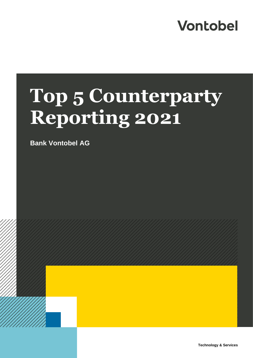## **Vontobel**

# **Top 5 Counterparty Reporting 2021**

**Bank Vontobel AG**

**Technology & Services**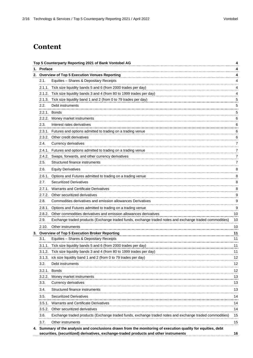### **Content**

|            | Top 5 Counterparty Reporting 2021 of Bank Vontobel AG                                                                                                                                                 | 4  |
|------------|-------------------------------------------------------------------------------------------------------------------------------------------------------------------------------------------------------|----|
| 1. Preface |                                                                                                                                                                                                       | 4  |
|            | 2. Overview of Top 5 Execution Venues Reporting                                                                                                                                                       | 4  |
| 2.1.       | Equities - Shares & Depositary Receipts                                                                                                                                                               | 4  |
|            | 2.1.1. Tick size liquidity bands 5 and 6 (from 2000 trades per day)                                                                                                                                   | 4  |
|            | 2.1.2. Tick size liquidity bands 3 and 4 (from 80 to 1999 trades per day)                                                                                                                             | 4  |
|            | 2.1.3. Tick size liquidity band 1 and 2 (from 0 to 79 trades per day)                                                                                                                                 | 5  |
| 2.2.<br>.  | Debt instruments                                                                                                                                                                                      | 5  |
|            | 2.2.1. Bonds                                                                                                                                                                                          | 5  |
| 2.2.2.     | Money market instruments                                                                                                                                                                              | 6  |
| 2.3.       | Interest rates derivatives                                                                                                                                                                            | 6  |
|            | 2.3.1. Futures and options admitted to trading on a trading venue                                                                                                                                     | 6  |
|            | 2.3.2. Other credit derivatives                                                                                                                                                                       | 6  |
| 2.4.       | Currency derivatives                                                                                                                                                                                  | 7  |
|            | 2.4.1. Futures and options admitted to trading on a trading venue                                                                                                                                     | 7  |
|            | 2.4.2. Swaps, forwards, and other currency derivatives                                                                                                                                                | 7  |
| 2.5.       | Structured finance instruments                                                                                                                                                                        | 7  |
| 2.6.       | <b>Equity Derivatives</b>                                                                                                                                                                             | 8  |
|            | 2.6.1. Options and Futures admitted to trading on a trading venue                                                                                                                                     | 8  |
| 2.7.       | <b>Securitized Derivatives</b>                                                                                                                                                                        | 8  |
|            | 2.7.1. Warrants and Certificate Derivatives                                                                                                                                                           | 8  |
|            | 2.7.2. Other securitized derivatives                                                                                                                                                                  | 9  |
| 2.8.       | Commodities derivatives and emission allowances Derivatives                                                                                                                                           | 9  |
|            | 2.8.1. Options and Futures admitted to trading on a trading venue                                                                                                                                     | 9  |
|            | 2.8.2. Other commodities derivatives and emission allowances derivatives                                                                                                                              | 10 |
| 2.9.       | Exchange traded products (Exchange traded funds, exchange traded notes and exchange traded commodities)                                                                                               | 10 |
| 2.10.      | Other instruments                                                                                                                                                                                     | 10 |
|            | 3. Overview of Top 5 Execution Broker Reporting                                                                                                                                                       | 11 |
| 3.1.       | Equities - Shares & Depositary Receipts                                                                                                                                                               | 11 |
|            | 3.1.1. Tick size liquidity bands 5 and 6 (from 2000 trades per day)                                                                                                                                   | 11 |
| 3.1.2.     | Tick size liquidity bands 3 and 4 (from 80 to 1999 trades per day)                                                                                                                                    | 11 |
|            | 3.1.3. ick size liquidity band 1 and 2 (from 0 to 79 trades per day)                                                                                                                                  | 12 |
| 3.2.       | Debt instruments                                                                                                                                                                                      | 12 |
|            | 3.2.1. Bonds                                                                                                                                                                                          | 12 |
| 3.2.2.     | Money market instruments                                                                                                                                                                              | 13 |
| 3.3.       | Currency derivatives                                                                                                                                                                                  | 13 |
| 3.4.       | Structured finance instruments                                                                                                                                                                        | 13 |
| 3.5.       | Securitized Derivatives                                                                                                                                                                               | 14 |
|            |                                                                                                                                                                                                       |    |
|            | 3.5.1. Warrants and Certificate Derivatives                                                                                                                                                           | 14 |
|            | 3.5.2. Other securitized derivatives                                                                                                                                                                  | 14 |
| 3.6.       | Exchange traded products (Exchange traded funds, exchange traded notes and exchange traded commodities)                                                                                               | 15 |
| 3.7.       | Other instruments                                                                                                                                                                                     | 15 |
|            | 4. Summary of the analysis and conclusions drawn from the monitoring of execution quality for equities, debt<br>securities, (securitized) derivatives, exchange-traded products and other instruments | 16 |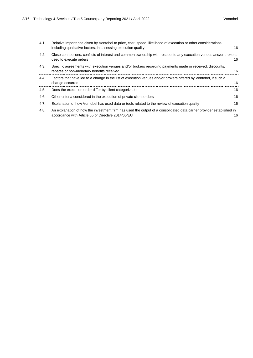| Close connections, conflicts of interest and common ownership with respect to any execution venues and/or brokers<br>4.2.<br>used to execute orders<br>Specific agreements with execution venues and/or brokers regarding payments made or received, discounts,<br>4.3.<br>rebates or non-monetary benefits received<br>Factors that have led to a change in the list of execution venues and/or brokers offered by Vontobel, if such a<br>4.4.<br>change occurred<br>Does the execution order differ by client categorization<br>4.5.<br>Other criteria considered in the execution of private client orders<br>4.6.<br>Explanation of how Vontobel has used data or tools related to the review of execution quality<br>4.7.<br>An explanation of how the investment firm has used the output of a consolidated data carrier provider established in<br>4.8.<br>accordance with Article 65 of Directive 2014/65/EU | 4.1. | Relative importance given by Vontobel to price, cost, speed, likelihood of execution or other considerations,<br>including qualitative factors, in assessing execution quality | 16 |
|----------------------------------------------------------------------------------------------------------------------------------------------------------------------------------------------------------------------------------------------------------------------------------------------------------------------------------------------------------------------------------------------------------------------------------------------------------------------------------------------------------------------------------------------------------------------------------------------------------------------------------------------------------------------------------------------------------------------------------------------------------------------------------------------------------------------------------------------------------------------------------------------------------------------|------|--------------------------------------------------------------------------------------------------------------------------------------------------------------------------------|----|
|                                                                                                                                                                                                                                                                                                                                                                                                                                                                                                                                                                                                                                                                                                                                                                                                                                                                                                                      |      |                                                                                                                                                                                | 16 |
|                                                                                                                                                                                                                                                                                                                                                                                                                                                                                                                                                                                                                                                                                                                                                                                                                                                                                                                      |      |                                                                                                                                                                                | 16 |
|                                                                                                                                                                                                                                                                                                                                                                                                                                                                                                                                                                                                                                                                                                                                                                                                                                                                                                                      |      |                                                                                                                                                                                | 16 |
|                                                                                                                                                                                                                                                                                                                                                                                                                                                                                                                                                                                                                                                                                                                                                                                                                                                                                                                      |      |                                                                                                                                                                                | 16 |
|                                                                                                                                                                                                                                                                                                                                                                                                                                                                                                                                                                                                                                                                                                                                                                                                                                                                                                                      |      |                                                                                                                                                                                | 16 |
|                                                                                                                                                                                                                                                                                                                                                                                                                                                                                                                                                                                                                                                                                                                                                                                                                                                                                                                      |      |                                                                                                                                                                                | 16 |
|                                                                                                                                                                                                                                                                                                                                                                                                                                                                                                                                                                                                                                                                                                                                                                                                                                                                                                                      |      |                                                                                                                                                                                |    |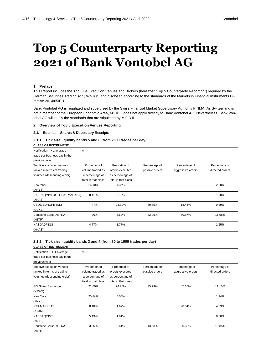## **Top 5 Counterparty Reporting 2021 of Bank Vontobel AG**

#### **1. Preface**

This Report includes the Top Five Execution Venues and Brokers (hereafter "Top 5 Counterparty Reporting") required by the German Securities Trading Act ("WpHG") and disclosed according to the standards of the Markets in Financial Instruments Directive 2014/65/EU.

Bank Vontobel AG is regulated and supervised by the Swiss Financial Market Supervisory Authority FINMA. As Switzerland is not a member of the European Economic Area, MiFID II does not apply directly to Bank Vontobel AG. Nevertheless, Bank Vontobel AG will apply the standards that are stipulated by MiFID II.

#### **2. Overview of Top 5 Execution Venues Reporting**

#### **2.1. Equities – Shares & Depositary Receipts**

#### **2.1.1. Tick size liquidity bands 5 and 6 (from 2000 trades per day)**

#### **CLASS OF INSTRUMENT**

| Notification if <1 average<br>trade per business day in the<br>previous year          | Ν                                                                           |                                                                             |                                 |                                    |                                  |
|---------------------------------------------------------------------------------------|-----------------------------------------------------------------------------|-----------------------------------------------------------------------------|---------------------------------|------------------------------------|----------------------------------|
| Top five execution venues<br>ranked in terms of trading<br>volumes (descending order) | Proportion of<br>volume traded as<br>a percentage of<br>total in that class | Proportion of<br>orders executed<br>as percentage of<br>total in that class | Percentage of<br>passive orders | Percentage of<br>aggressive orders | Percentage of<br>directed orders |
| New York<br>(XNYS)                                                                    | 16.10%                                                                      | 4.36%                                                                       |                                 |                                    | 2.28%                            |
| NASDAQ/NMS (GLOBAL MARKET)<br>(XNAS)                                                  | 8.11%                                                                       | 2.10%                                                                       |                                 |                                    | 1.98%                            |
| CBOE EUROPE (NL)<br>(CCXE)                                                            | 7.47%                                                                       | 23.30%                                                                      | 80.75%                          | 18.44%                             | 0.39%                            |
| Deutsche Börse XETRA<br>(XETR)                                                        | 7.36%                                                                       | 5.53%                                                                       | 32.99%                          | 50.87%                             | 11.98%                           |
| NASDAQ/NGS<br>(XNAS)                                                                  | 4.77%                                                                       | 1.77%                                                                       |                                 |                                    | 2.65%                            |

#### **2.1.2. Tick size liquidity bands 3 and 4 (from 80 to 1999 trades per day)**

| <b>CLASS OF INSTRUMENT</b>                                                            |                                                                             |                                                                             |                                 |                                    |                                  |
|---------------------------------------------------------------------------------------|-----------------------------------------------------------------------------|-----------------------------------------------------------------------------|---------------------------------|------------------------------------|----------------------------------|
| Notification if <11 average<br>trade per business day in the<br>previous year         | N                                                                           |                                                                             |                                 |                                    |                                  |
| Top five execution venues<br>ranked in terms of trading<br>volumes (descending order) | Proportion of<br>volume traded as<br>a percentage of<br>total in that class | Proportion of<br>orders executed<br>as percentage of<br>total in that class | Percentage of<br>passive orders | Percentage of<br>aggressive orders | Percentage of<br>directed orders |
| SIX Swiss Exchange<br>(XSWX)                                                          | 21.60%                                                                      | 24.75%                                                                      | 35.73%                          | 47.65%                             | 11.15%                           |
| New York<br>(XNYS)                                                                    | 20.84%                                                                      | 5.06%                                                                       |                                 |                                    | 1.24%                            |
| <b>XTX MARKETS</b><br>(XTXM)                                                          | 8.18%                                                                       | 4.67%                                                                       |                                 | 98.04%                             | 4.53%                            |
| NASDAQ/NMS<br>(XNAS)                                                                  | 5.13%                                                                       | 1.01%                                                                       |                                 |                                    | 0.80%                            |
| Deutsche Börse XETRA<br>(XETR)                                                        | 3.66%                                                                       | 8.61%                                                                       | 43.63%                          | 50.68%                             | 13.85%                           |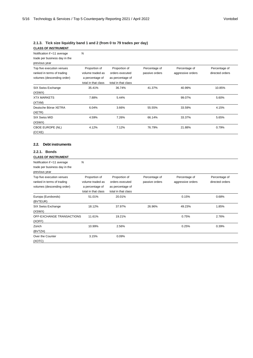#### **2.1.3. Tick size liquidity band 1 and 2 (from 0 to 79 trades per day)**

| <b>CLASS OF INSTRUMENT</b>                                                            |                                                                             |                                                                             |                                 |                                    |                                  |
|---------------------------------------------------------------------------------------|-----------------------------------------------------------------------------|-----------------------------------------------------------------------------|---------------------------------|------------------------------------|----------------------------------|
| Notification if <11 average<br>trade per business day in the<br>previous year         | N                                                                           |                                                                             |                                 |                                    |                                  |
| Top five execution venues<br>ranked in terms of trading<br>volumes (descending order) | Proportion of<br>volume traded as<br>a percentage of<br>total in that class | Proportion of<br>orders executed<br>as percentage of<br>total in that class | Percentage of<br>passive orders | Percentage of<br>aggressive orders | Percentage of<br>directed orders |
| SIX Swiss Exchange<br>(XSWX)                                                          | 35.41%                                                                      | 36.74%                                                                      | 41.37%                          | 40.99%                             | 10.85%                           |
| <b>XTX MARKETS</b><br>(XTXM)                                                          | 7.88%                                                                       | 5.44%                                                                       |                                 | 99.07%                             | 5.60%                            |
| Deutsche Börse XETRA<br>(XETR)                                                        | 6.04%                                                                       | 3.66%                                                                       | 55.55%                          | 33.59%                             | 4.15%                            |
| <b>SIX Swiss MID</b><br>(XSWX)                                                        | 4.59%                                                                       | 7.26%                                                                       | 66.14%                          | 33.37%                             | 5.65%                            |
| CBOE EUROPE (NL)<br>(CCXE)                                                            | 4.12%                                                                       | 7.12%                                                                       | 76.79%                          | 21.88%                             | 0.79%                            |

#### **2.2. Debt instruments**

#### **2.2.1. Bonds**

| <b>CLASS OF INSTRUMENT</b>                                                            |                                                                             |                                                                             |                                 |                                    |                                  |
|---------------------------------------------------------------------------------------|-----------------------------------------------------------------------------|-----------------------------------------------------------------------------|---------------------------------|------------------------------------|----------------------------------|
| Notification if <11 average<br>trade per business day in the<br>previous year         | Ν                                                                           |                                                                             |                                 |                                    |                                  |
| Top five execution venues<br>ranked in terms of trading<br>volumes (descending order) | Proportion of<br>volume traded as<br>a percentage of<br>total in that class | Proportion of<br>orders executed<br>as percentage of<br>total in that class | Percentage of<br>passive orders | Percentage of<br>aggressive orders | Percentage of<br>directed orders |
| Europa (Eurobonds)<br>(BVTEUR)                                                        | 51.01%                                                                      | 20.01%                                                                      |                                 | 0.15%                              | 0.68%                            |
| SIX Swiss Exchange<br>(XSWX)                                                          | 18.12%                                                                      | 37.97%                                                                      | 26.96%                          | 49.23%                             | 1.85%                            |
| OFF-EXCHANGE TRANSACTIONS<br>(XOFF)                                                   | 11.61%                                                                      | 19.21%                                                                      |                                 | 0.75%                              | 2.76%                            |
| Zürich<br>(BVTZH)                                                                     | 10.99%                                                                      | 2.56%                                                                       |                                 | 0.25%                              | 0.39%                            |
| Over the Counter<br>(XOTC)                                                            | 3.15%                                                                       | 0.09%                                                                       |                                 |                                    |                                  |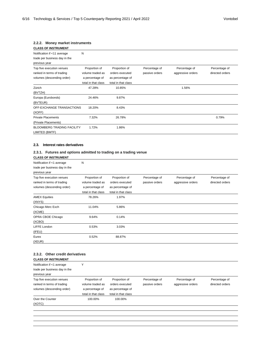#### **2.2.2. Money market instruments**

| <b>CLASS OF INSTRUMENT</b>                                                            |                                                                             |                                                                             |                                 |                                    |                                  |
|---------------------------------------------------------------------------------------|-----------------------------------------------------------------------------|-----------------------------------------------------------------------------|---------------------------------|------------------------------------|----------------------------------|
| Notification if <11 average<br>trade per business day in the<br>previous year         | Ν                                                                           |                                                                             |                                 |                                    |                                  |
| Top five execution venues<br>ranked in terms of trading<br>volumes (descending order) | Proportion of<br>volume traded as<br>a percentage of<br>total in that class | Proportion of<br>orders executed<br>as percentage of<br>total in that class | Percentage of<br>passive orders | Percentage of<br>aggressive orders | Percentage of<br>directed orders |
| Zürich<br>(BVTZH)                                                                     | 47.28%                                                                      | 10.85%                                                                      |                                 | 1.56%                              |                                  |
| Europa (Eurobonds)<br>(BVTEUR)                                                        | 24.46%                                                                      | 9.87%                                                                       |                                 |                                    |                                  |
| OFF-EXCHANGE TRANSACTIONS<br>(XOFF)                                                   | 18.20%                                                                      | 8.43%                                                                       |                                 |                                    |                                  |
| <b>Private Placements</b><br>(Private Placements)                                     | 7.32%                                                                       | 26.78%                                                                      |                                 |                                    | 0.79%                            |
| <b>BLOOMBERG TRADING FACILITY</b><br>LIMITED (BMTF)                                   | 1.72%                                                                       | 1.86%                                                                       |                                 |                                    |                                  |

#### **2.3. Interest rates derivatives**

#### **2.3.1. Futures and options admitted to trading on a trading venue CLASS OF INSTRUMENT**

| <b>ULASS UF INSTRUMENT</b>                                  |                     |                     |                |                   |                 |
|-------------------------------------------------------------|---------------------|---------------------|----------------|-------------------|-----------------|
| Notification if <1 average<br>trade per business day in the | N                   |                     |                |                   |                 |
| previous year                                               |                     |                     |                |                   |                 |
| Top five execution venues                                   | Proportion of       | Proportion of       | Percentage of  | Percentage of     | Percentage of   |
| ranked in terms of trading                                  | volume traded as    | orders executed     | passive orders | aggressive orders | directed orders |
| volumes (descending order)                                  | a percentage of     | as percentage of    |                |                   |                 |
|                                                             | total in that class | total in that class |                |                   |                 |
| <b>AMEX Equities</b>                                        | 78.26%              | 1.97%               |                |                   |                 |
| (XNYS)                                                      |                     |                     |                |                   |                 |
| Chicago Merc Exch                                           | 11.04%              | 5.86%               |                |                   |                 |
| (XCME)                                                      |                     |                     |                |                   |                 |
| OPRA CBOE Chicago                                           | 9.64%               | 0.14%               |                |                   |                 |
| (XCBO)                                                      |                     |                     |                |                   |                 |
| LIFFE London                                                | 0.53%               | 3.03%               |                |                   |                 |
| (IFEU)                                                      |                     |                     |                |                   |                 |
| Eurex                                                       | 0.52%               | 88.87%              |                |                   |                 |
| (XEUR)                                                      |                     |                     |                |                   |                 |

#### **2.3.2. Other credit derivatives**

| Notification if <1 average    | v                   |                     |                |                   |                 |
|-------------------------------|---------------------|---------------------|----------------|-------------------|-----------------|
| trade per business day in the |                     |                     |                |                   |                 |
| previous year                 |                     |                     |                |                   |                 |
| Top five execution venues     | Proportion of       | Proportion of       | Percentage of  | Percentage of     | Percentage of   |
| ranked in terms of trading    | volume traded as    | orders executed     | passive orders | aggressive orders | directed orders |
| volumes (descending order)    | a percentage of     | as percentage of    |                |                   |                 |
|                               | total in that class | total in that class |                |                   |                 |
| Over the Counter              | 100.00%             | 100.00%             |                |                   |                 |
| (XOTC)                        |                     |                     |                |                   |                 |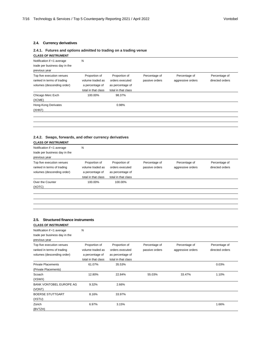#### **2.4. Currency derivatives**

#### **2.4.1. Futures and options admitted to trading on a trading venue**

| Notification if <1 average                                                            | N                                                                           |                                                                             |                                 |                                    |                                  |
|---------------------------------------------------------------------------------------|-----------------------------------------------------------------------------|-----------------------------------------------------------------------------|---------------------------------|------------------------------------|----------------------------------|
| trade per business day in the<br>previous year                                        |                                                                             |                                                                             |                                 |                                    |                                  |
| Top five execution venues<br>ranked in terms of trading<br>volumes (descending order) | Proportion of<br>volume traded as<br>a percentage of<br>total in that class | Proportion of<br>orders executed<br>as percentage of<br>total in that class | Percentage of<br>passive orders | Percentage of<br>aggressive orders | Percentage of<br>directed orders |
| Chicago Merc Exch<br>(XCME)                                                           | 100.00%                                                                     | 98.37%                                                                      |                                 |                                    |                                  |
| Hong-Kong Derivates<br>(XHKF)                                                         |                                                                             | 0.98%                                                                       |                                 |                                    |                                  |

#### **2.4.2. Swaps, forwards, and other currency derivatives**

| <b>CLASS OF INSTRUMENT</b>    |                     |                     |                |                   |                 |
|-------------------------------|---------------------|---------------------|----------------|-------------------|-----------------|
| Notification if <1 average    | N                   |                     |                |                   |                 |
| trade per business day in the |                     |                     |                |                   |                 |
| previous year                 |                     |                     |                |                   |                 |
| Top five execution venues     | Proportion of       | Proportion of       | Percentage of  | Percentage of     | Percentage of   |
| ranked in terms of trading    | volume traded as    | orders executed     | passive orders | aggressive orders | directed orders |
| volumes (descending order)    | a percentage of     | as percentage of    |                |                   |                 |
|                               | total in that class | total in that class |                |                   |                 |
| Over the Counter              | 100.00%             | 100.00%             |                |                   |                 |
| (XOTC)                        |                     |                     |                |                   |                 |

#### **2.5. Structured finance instruments**

| <b>CLASS OF INSTRUMENT</b>                                                            |                                                                             |                                                                             |                                 |                                    |                                  |
|---------------------------------------------------------------------------------------|-----------------------------------------------------------------------------|-----------------------------------------------------------------------------|---------------------------------|------------------------------------|----------------------------------|
| Notification if <1 average<br>trade per business day in the<br>previous year          | Ν                                                                           |                                                                             |                                 |                                    |                                  |
| Top five execution venues<br>ranked in terms of trading<br>volumes (descending order) | Proportion of<br>volume traded as<br>a percentage of<br>total in that class | Proportion of<br>orders executed<br>as percentage of<br>total in that class | Percentage of<br>passive orders | Percentage of<br>aggressive orders | Percentage of<br>directed orders |
| <b>Private Placements</b><br>(Private Placements)                                     | 61.07%                                                                      | 35.53%                                                                      |                                 |                                    | 0.03%                            |
| Scoach<br>(XSWX)                                                                      | 12.80%                                                                      | 22.84%                                                                      | 55.03%                          | 33.47%                             | 1.10%                            |
| <b>BANK VONTOBEL EUROPE AG</b><br>(VONT)                                              | 9.32%                                                                       | 2.66%                                                                       |                                 |                                    |                                  |
| <b>BOERSE STUTTGART</b><br>(XSTU)                                                     | 8.16%                                                                       | 33.97%                                                                      |                                 |                                    |                                  |
| Zürich<br>(BVTZH)                                                                     | 6.97%                                                                       | 3.15%                                                                       |                                 |                                    | 1.66%                            |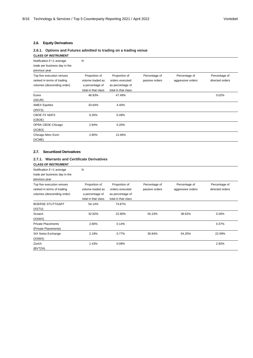#### **2.6. Equity Derivatives**

#### **2.6.1. Options and Futures admitted to trading on a trading venue**

| <b>CLASS OF INSTRUMENT</b>                                                            |                                                                             |                                                                             |                                 |                                    |                                  |
|---------------------------------------------------------------------------------------|-----------------------------------------------------------------------------|-----------------------------------------------------------------------------|---------------------------------|------------------------------------|----------------------------------|
| Notification if <1 average<br>trade per business day in the<br>previous year          | Ν                                                                           |                                                                             |                                 |                                    |                                  |
| Top five execution venues<br>ranked in terms of trading<br>volumes (descending order) | Proportion of<br>volume traded as<br>a percentage of<br>total in that class | Proportion of<br>orders executed<br>as percentage of<br>total in that class | Percentage of<br>passive orders | Percentage of<br>aggressive orders | Percentage of<br>directed orders |
| Eurex<br>(XEUR)                                                                       | 48.93%                                                                      | 47.49%                                                                      |                                 |                                    | 0.02%                            |
| <b>AMEX Equities</b><br>(XNYS)                                                        | 33.64%                                                                      | 4.40%                                                                       |                                 |                                    |                                  |
| CBOE FX NDFS<br>(CBOE)                                                                | 6.35%                                                                       | 0.49%                                                                       |                                 |                                    |                                  |
| OPRA CBOE Chicago<br>(XCBO)                                                           | 2.94%                                                                       | 0.20%                                                                       |                                 |                                    |                                  |
| Chicago Merc Exch<br>(XCME)                                                           | 2.85%                                                                       | 13.46%                                                                      |                                 |                                    |                                  |

#### **2.7. Securitized Derivatives**

#### **2.7.1. Warrants and Certificate Derivatives**

| <b>CLASS OF INSTRUMENT</b>                                                            |                                                                             |                                                                             |                                 |                                    |                                  |
|---------------------------------------------------------------------------------------|-----------------------------------------------------------------------------|-----------------------------------------------------------------------------|---------------------------------|------------------------------------|----------------------------------|
| Notification if <1 average<br>trade per business day in the<br>previous year          | Ν                                                                           |                                                                             |                                 |                                    |                                  |
| Top five execution venues<br>ranked in terms of trading<br>volumes (descending order) | Proportion of<br>volume traded as<br>a percentage of<br>total in that class | Proportion of<br>orders executed<br>as percentage of<br>total in that class | Percentage of<br>passive orders | Percentage of<br>aggressive orders | Percentage of<br>directed orders |
| <b>BOERSE STUTTGART</b><br>(XSTU)                                                     | 54.14%                                                                      | 74.87%                                                                      |                                 |                                    |                                  |
| Scoach<br>(XSWX)                                                                      | 32.82%                                                                      | 22.90%                                                                      | 55.24%                          | 38.62%                             | 0.26%                            |
| <b>Private Placements</b><br>(Private Placements)                                     | 2.66%                                                                       | 0.14%                                                                       |                                 |                                    | 0.37%                            |
| SIX Swiss Exchange<br>(XSWX)                                                          | 2.19%                                                                       | 0.77%                                                                       | 30.84%                          | 54.25%                             | 22.09%                           |
| Zürich<br>(BVTZH)                                                                     | 1.43%                                                                       | 0.09%                                                                       |                                 |                                    | 2.92%                            |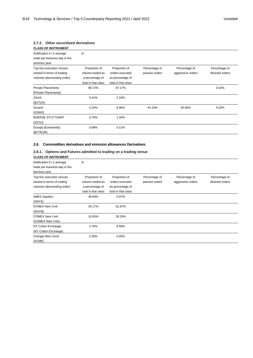#### **2.7.2. Other securitized derivatives**

| <b>CLASS OF INSTRUMENT</b>                                                            |                                                                             |                                                                             |                                 |                                    |                                  |
|---------------------------------------------------------------------------------------|-----------------------------------------------------------------------------|-----------------------------------------------------------------------------|---------------------------------|------------------------------------|----------------------------------|
| Notification if <1 average<br>trade per business day in the<br>previous year          | Ν                                                                           |                                                                             |                                 |                                    |                                  |
| Top five execution venues<br>ranked in terms of trading<br>volumes (descending order) | Proportion of<br>volume traded as<br>a percentage of<br>total in that class | Proportion of<br>orders executed<br>as percentage of<br>total in that class | Percentage of<br>passive orders | Percentage of<br>aggressive orders | Percentage of<br>directed orders |
| <b>Private Placements</b><br>(Private Placements)                                     | 88.72%                                                                      | 87.17%                                                                      |                                 |                                    | 0.02%                            |
| Zürich<br>(BVTZH)                                                                     | 5.41%                                                                       | 2.16%                                                                       |                                 |                                    |                                  |
| Scoach<br>(XSWX)                                                                      | 4.32%                                                                       | 8.96%                                                                       | 44.10%                          | 50.00%                             | 9.20%                            |
| <b>BOERSE STUTTGART</b><br>(XSTU)                                                     | 0.75%                                                                       | 1.40%                                                                       |                                 |                                    |                                  |
| Europa (Eurobonds)<br>(BVTEUR)                                                        | 0.68%                                                                       | 0.11%                                                                       |                                 |                                    |                                  |

#### **2.8. Commodities derivatives and emission allowances Derivatives**

#### **2.8.1. Options and Futures admitted to trading on a trading venue**

| <b>CLASS OF INSTRUMENT</b>                                                            |                                                                             |                                                                             |                                 |                                    |                                  |
|---------------------------------------------------------------------------------------|-----------------------------------------------------------------------------|-----------------------------------------------------------------------------|---------------------------------|------------------------------------|----------------------------------|
| Notification if <1 average<br>trade per business day in the<br>previous year          | N                                                                           |                                                                             |                                 |                                    |                                  |
| Top five execution venues<br>ranked in terms of trading<br>volumes (descending order) | Proportion of<br>volume traded as<br>a percentage of<br>total in that class | Proportion of<br>orders executed<br>as percentage of<br>total in that class | Percentage of<br>passive orders | Percentage of<br>aggressive orders | Percentage of<br>directed orders |
| <b>AMEX Equities</b><br>(XNYS)                                                        | 48.93%                                                                      | 0.07%                                                                       |                                 |                                    |                                  |
| <b>NYMEX New York</b><br>(XNYM)                                                       | 34.17%                                                                      | 51.67%                                                                      |                                 |                                    |                                  |
| <b>COMEX New York</b><br>(COMEX New York)                                             | 10.65%                                                                      | 30.33%                                                                      |                                 |                                    |                                  |
| NY Cotton Exchange<br>(NY Cotton Exchange)                                            | 2.76%                                                                       | 8.58%                                                                       |                                 |                                    |                                  |
| Chicago Merc Exch<br>(XCME)                                                           | 2.30%                                                                       | 5.05%                                                                       |                                 |                                    |                                  |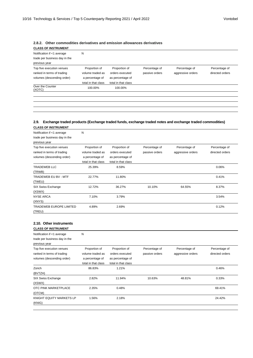#### **2.8.2. Other commodities derivatives and emission allowances derivatives**

| <b>CLASS OF INSTRUMENT</b>    |                     |                     |                |                   |                 |
|-------------------------------|---------------------|---------------------|----------------|-------------------|-----------------|
| Notification if <1 average    | N                   |                     |                |                   |                 |
| trade per business day in the |                     |                     |                |                   |                 |
| previous year                 |                     |                     |                |                   |                 |
| Top five execution venues     | Proportion of       | Proportion of       | Percentage of  | Percentage of     | Percentage of   |
| ranked in terms of trading    | volume traded as    | orders executed     | passive orders | aggressive orders | directed orders |
| volumes (descending order)    | a percentage of     | as percentage of    |                |                   |                 |
|                               | total in that class | total in that class |                |                   |                 |
| Over the Counter<br>(XOTC)    | 100.00%             | 100.00%             |                |                   |                 |
|                               |                     |                     |                |                   |                 |
|                               |                     |                     |                |                   |                 |
|                               |                     |                     |                |                   |                 |

#### **2.9. Exchange traded products (Exchange traded funds, exchange traded notes and exchange traded commodities) CLASS OF INSTRUMENT**

| יייושייטיייטי יש טטא                                                                  |                                                                             |                                                                             |                                 |                                    |                                  |
|---------------------------------------------------------------------------------------|-----------------------------------------------------------------------------|-----------------------------------------------------------------------------|---------------------------------|------------------------------------|----------------------------------|
| Notification if <1 average<br>trade per business day in the<br>previous year          | Ν                                                                           |                                                                             |                                 |                                    |                                  |
| Top five execution venues<br>ranked in terms of trading<br>volumes (descending order) | Proportion of<br>volume traded as<br>a percentage of<br>total in that class | Proportion of<br>orders executed<br>as percentage of<br>total in that class | Percentage of<br>passive orders | Percentage of<br>aggressive orders | Percentage of<br>directed orders |
| <b>TRADEWEB LLC</b><br>(TRWB)                                                         | 25.39%                                                                      | 8.59%                                                                       |                                 |                                    | 0.06%                            |
| TRADEWEB EU BV - MTF<br>(TWEU)                                                        | 22.77%                                                                      | 11.80%                                                                      |                                 |                                    | 0.41%                            |
| SIX Swiss Exchange<br>(XSWX)                                                          | 12.72%                                                                      | 36.27%                                                                      | 10.10%                          | 64.55%                             | 8.37%                            |
| <b>NYSE ARCA</b><br>(XNYS)                                                            | 7.10%                                                                       | 3.79%                                                                       |                                 |                                    | 3.54%                            |
| <b>TRADEWEB EUROPE LIMITED</b><br>(TREU)                                              | 4.89%                                                                       | 2.69%                                                                       |                                 |                                    | 0.12%                            |

#### **2.10. Other instruments**

| Notification if <1 average<br>trade per business day in the                           | N                                                    |                                                      |                                 |                                    |                                  |
|---------------------------------------------------------------------------------------|------------------------------------------------------|------------------------------------------------------|---------------------------------|------------------------------------|----------------------------------|
| previous year                                                                         |                                                      |                                                      |                                 |                                    |                                  |
| Top five execution venues<br>ranked in terms of trading<br>volumes (descending order) | Proportion of<br>volume traded as<br>a percentage of | Proportion of<br>orders executed<br>as percentage of | Percentage of<br>passive orders | Percentage of<br>aggressive orders | Percentage of<br>directed orders |
|                                                                                       | total in that class                                  | total in that class                                  |                                 |                                    |                                  |
| Zürich<br>(BVTZH)                                                                     | 86.83%                                               | 1.21%                                                |                                 |                                    | 0.46%                            |
| SIX Swiss Exchange<br>(XSWX)                                                          | 2.82%                                                | 11.94%                                               | 10.63%                          | 48.81%                             | 0.33%                            |
| OTC PINK MARKETPLACE<br>(OTCM)                                                        | 2.35%                                                | 0.48%                                                |                                 |                                    | 69.41%                           |
| KNIGHT EQUITY MARKETS LP<br>(KNIG)                                                    | 1.56%                                                | 2.18%                                                |                                 |                                    | 24.42%                           |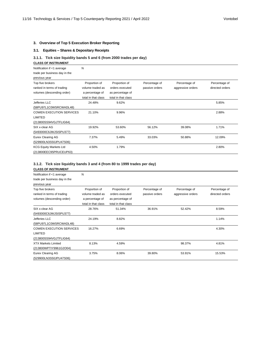#### **3. Overview of Top 5 Execution Broker Reporting**

#### **3.1. Equities – Shares & Depositary Receipts**

#### **3.1.1. Tick size liquidity bands 5 and 6 (from 2000 trades per day)**

#### **CLASS OF INSTRUMENT**

| Notification if <1 average      | Ν                   |                     |                |                   |                 |
|---------------------------------|---------------------|---------------------|----------------|-------------------|-----------------|
| trade per business day in the   |                     |                     |                |                   |                 |
| previous year                   |                     |                     |                |                   |                 |
| Top five brokers                | Proportion of       | Proportion of       | Percentage of  | Percentage of     | Percentage of   |
| ranked in terms of trading      | volume traded as    | orders executed     | passive orders | aggressive orders | directed orders |
| volumes (descending order)      | a percentage of     | as percentage of    |                |                   |                 |
|                                 | total in that class | total in that class |                |                   |                 |
| Jefferies LLC                   | 24.48%              | 9.62%               |                |                   | 5.85%           |
| (58PU97L1C0WSRCWADL48)          |                     |                     |                |                   |                 |
| <b>COWEN EXECUTION SERVICES</b> | 21.10%              | 9.96%               |                |                   | 2.88%           |
| LIMITED                         |                     |                     |                |                   |                 |
| (213800SS94VGJTFLIG64)          |                     |                     |                |                   |                 |
| SIX x-clear AG                  | 19.92%              | 53.60%              | 56.12%         | 39.08%            | 1.71%           |
| (5493000C6JWJSISPU377)          |                     |                     |                |                   |                 |
| Eurex Clearing AG               | 7.37%               | 5.49%               | 33.03%         | 50.88%            | 12.09%          |
| (529900LN3S50JPU47S06)          |                     |                     |                |                   |                 |
| <b>KCG Equity Markets Ltd</b>   | 4.50%               | 1.79%               |                |                   | 2.80%           |
| (213800EEC95PRUCEUP63)          |                     |                     |                |                   |                 |

#### **3.1.2. Tick size liquidity bands 3 and 4 (from 80 to 1999 trades per day)**

| <b>CLASS OF INSTRUMENT</b>      |                     |                     |                |                   |                 |
|---------------------------------|---------------------|---------------------|----------------|-------------------|-----------------|
| Notification if <1 average      | N                   |                     |                |                   |                 |
| trade per business day in the   |                     |                     |                |                   |                 |
| previous year                   |                     |                     |                |                   |                 |
| Top five brokers                | Proportion of       | Proportion of       | Percentage of  | Percentage of     | Percentage of   |
| ranked in terms of trading      | volume traded as    | orders executed     | passive orders | aggressive orders | directed orders |
| volumes (descending order)      | a percentage of     | as percentage of    |                |                   |                 |
|                                 | total in that class | total in that class |                |                   |                 |
| SIX x-clear AG                  | 28.76%              | 51.34%              | 36.91%         | 52.42%            | 8.59%           |
| (5493000C6JWJSISPU377)          |                     |                     |                |                   |                 |
| Jefferies LLC                   | 24.19%              | 8.82%               |                |                   | 1.14%           |
| (58PU97L1C0WSRCWADL48)          |                     |                     |                |                   |                 |
| <b>COWEN EXECUTION SERVICES</b> | 16.27%              | 6.69%               |                |                   | 4.30%           |
| <b>LIMITED</b>                  |                     |                     |                |                   |                 |
| (213800SS94VGJTFLIG64)          |                     |                     |                |                   |                 |
| <b>XTX Markets Limited</b>      | 8.13%               | 4.59%               |                | 98.37%            | 4.81%           |
| (213800WPTIY9961G2O04)          |                     |                     |                |                   |                 |
| Eurex Clearing AG               | 3.75%               | 8.06%               | 39.80%         | 53.91%            | 15.53%          |
| (529900LN3S50JPU47S06)          |                     |                     |                |                   |                 |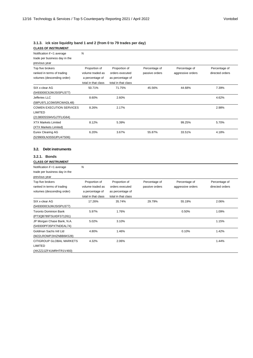#### **3.1.3. ick size liquidity band 1 and 2 (from 0 to 79 trades per day)**

| <b>CLASS OF INSTRUMENT</b>                 |                     |                     |                |                   |                 |
|--------------------------------------------|---------------------|---------------------|----------------|-------------------|-----------------|
| Notification if <1 average                 | N                   |                     |                |                   |                 |
| trade per business day in the              |                     |                     |                |                   |                 |
| previous year                              |                     |                     |                |                   |                 |
| Top five brokers                           | Proportion of       | Proportion of       | Percentage of  | Percentage of     | Percentage of   |
| ranked in terms of trading                 | volume traded as    | orders executed     | passive orders | aggressive orders | directed orders |
| volumes (descending order)                 | a percentage of     | as percentage of    |                |                   |                 |
|                                            | total in that class | total in that class |                |                   |                 |
| SIX x-clear AG                             | 50.71%              | 71.75%              | 45.56%         | 44.68%            | 7.39%           |
| (5493000C6JWJSISPU377)                     |                     |                     |                |                   |                 |
| Jefferies LLC                              | 8.60%               | 2.60%               |                |                   | 4.62%           |
| (58PU97L1C0WSRCWADL48)                     |                     |                     |                |                   |                 |
| <b>COWEN EXECUTION SERVICES</b>            | 8.26%               | 2.17%               |                |                   | 2.98%           |
| <b>LIMITED</b>                             |                     |                     |                |                   |                 |
| (213800SS94VGJTFLIG64)                     |                     |                     |                |                   |                 |
| <b>XTX Markets Limited</b>                 | 8.12%               | 5.39%               |                | 99.25%            | 5.70%           |
| (XTX Markets Limited)                      |                     |                     |                |                   |                 |
| <b>Eurex Clearing AG</b>                   | 6.20%               | 3.67%               | 55.87%         | 33.51%            | 4.18%           |
| (529900LN3S50JPU47S06)                     |                     |                     |                |                   |                 |
| 3.2.1. Bonds<br><b>CLASS OF INSTRUMENT</b> |                     |                     |                |                   |                 |
| Notification if <1 average                 | N                   |                     |                |                   |                 |
| trade per business day in the              |                     |                     |                |                   |                 |
| previous year                              |                     |                     |                |                   |                 |
| Top five brokers                           | Proportion of       | Proportion of       | Percentage of  | Percentage of     | Percentage of   |
| ranked in terms of trading                 | volume traded as    | orders executed     | passive orders | aggressive orders | directed orders |
| volumes (descending order)                 | a percentage of     | as percentage of    |                |                   |                 |
|                                            | total in that class | total in that class |                |                   |                 |
| SIX x-clear AG                             | 17.26%              | 35.74%              | 29.79%         | 55.19%            | 2.06%           |
| (5493000C6JWJSISPU377)                     |                     |                     |                |                   |                 |
| <b>Toronto Dominion Bank</b>               | 5.97%               | 1.76%               |                | 0.50%             | 1.09%           |
| (PT3QB789TSUIDF371261)                     |                     |                     |                |                   |                 |
| JP Morgan Chase Bank, N.A.                 | 5.02%               | 3.10%               |                |                   | 1.15%           |
| (549300PF35PXTNDEAL74)                     |                     |                     |                |                   |                 |
| Goldman Sachs Intl Ltd                     | 4.80%               | 1.46%               |                | 0.10%             | 1.42%           |
| (W22LROWP2IHZNBB6K528)                     |                     |                     |                |                   |                 |
| CITIGROUP GLOBAL MARKETS                   | 4.32%               | 2.06%               |                |                   | 1.44%           |
| <b>LIMITED</b>                             |                     |                     |                |                   |                 |
| (XKZZ2JZF41MRHTR1V493)                     |                     |                     |                |                   |                 |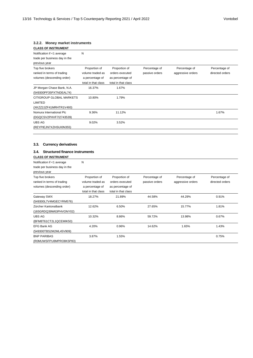#### **3.2.2. Money market instruments**

| <b>CLASS OF INSTRUMENT</b>      |                     |                     |                |                   |                 |
|---------------------------------|---------------------|---------------------|----------------|-------------------|-----------------|
| Notification if <1 average      | N                   |                     |                |                   |                 |
| trade per business day in the   |                     |                     |                |                   |                 |
| previous year                   |                     |                     |                |                   |                 |
| Top five brokers                | Proportion of       | Proportion of       | Percentage of  | Percentage of     | Percentage of   |
| ranked in terms of trading      | volume traded as    | orders executed     | passive orders | aggressive orders | directed orders |
| volumes (descending order)      | a percentage of     | as percentage of    |                |                   |                 |
|                                 | total in that class | total in that class |                |                   |                 |
| JP Morgan Chase Bank, N.A.      | 16.37%              | 1.67%               |                |                   |                 |
| (549300PF35PXTNDEAL74)          |                     |                     |                |                   |                 |
| <b>CITIGROUP GLOBAL MARKETS</b> | 10.80%              | 1.79%               |                |                   |                 |
| LIMITED                         |                     |                     |                |                   |                 |
| (XKZZ2JZF41MRHTR1V493)          |                     |                     |                |                   |                 |
| Nomura International Plc        | 9.36%               | 11.12%              |                |                   | 1.67%           |
| (DGQCSV2PHVF7I2743539)          |                     |                     |                |                   |                 |
| UBS AG                          | 9.02%               | 3.52%               |                |                   |                 |
| (REYPIEJN7XZHSUI0N355)          |                     |                     |                |                   |                 |

#### **3.3. Currency derivatives**

#### **3.4. Structured finance instruments**

| <b>CLASS OF INSTRUMENT</b>                                                   |                                                                             |                                                                             |                                 |                                    |                                  |
|------------------------------------------------------------------------------|-----------------------------------------------------------------------------|-----------------------------------------------------------------------------|---------------------------------|------------------------------------|----------------------------------|
| Notification if <1 average<br>trade per business day in the<br>previous year | N                                                                           |                                                                             |                                 |                                    |                                  |
| Top five brokers<br>ranked in terms of trading<br>volumes (descending order) | Proportion of<br>volume traded as<br>a percentage of<br>total in that class | Proportion of<br>orders executed<br>as percentage of<br>total in that class | Percentage of<br>passive orders | Percentage of<br>aggressive orders | Percentage of<br>directed orders |
| Gateway SWX<br>(549300L7V4MGECYRM576)                                        | 18.27%                                                                      | 21.89%                                                                      | 44.58%                          | 44.29%                             | 0.91%                            |
| Zürcher Kantonalbank<br>(165GRDQ39W63PHVONY02)                               | 12.62%                                                                      | 6.50%                                                                       | 27.65%                          | 15.77%                             | 1.81%                            |
| <b>UBS AG</b><br>(BFM8T61CT2L1QCEMIK50)                                      | 10.32%                                                                      | 8.86%                                                                       | 59.72%                          | 13.98%                             | 0.67%                            |
| <b>EFG Bank AG</b><br>(549300TBS2M2ML45V909)                                 | 4.20%                                                                       | 0.96%                                                                       | 14.62%                          | 1.65%                              | 1.43%                            |
| <b>BNP PARIBAS</b><br>(R0MUWSFPU8MPRO8K5P83)                                 | 3.87%                                                                       | 1.55%                                                                       |                                 |                                    | 0.75%                            |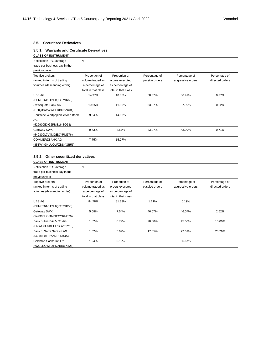#### **3.5.1. Warrants and Certificate Derivatives CLASS OF INSTRUMENT**

| Notification if <1 average      | Ν                   |                     |                |                   |                 |
|---------------------------------|---------------------|---------------------|----------------|-------------------|-----------------|
| trade per business day in the   |                     |                     |                |                   |                 |
| previous year                   |                     |                     |                |                   |                 |
| Top five brokers                | Proportion of       | Proportion of       | Percentage of  | Percentage of     | Percentage of   |
| ranked in terms of trading      | volume traded as    | orders executed     | passive orders | aggressive orders | directed orders |
| volumes (descending order)      | a percentage of     | as percentage of    |                |                   |                 |
|                                 | total in that class | total in that class |                |                   |                 |
| <b>UBS AG</b>                   | 14.97%              | 10.85%              | 58.37%         | 36.91%            | 0.37%           |
| (BFM8T61CT2L1QCEMIK50)          |                     |                     |                |                   |                 |
| Swissquote Bank SA              | 10.65%              | 11.90%              | 53.27%         | 37.99%            | 0.02%           |
| (H6IQ3SWWWBLDBI06ZX04)          |                     |                     |                |                   |                 |
| Deutsche WertpapierService Bank | 9.54%               | 14.83%              |                |                   |                 |
| AG                              |                     |                     |                |                   |                 |
| (529900EXG2PM316ISO63)          |                     |                     |                |                   |                 |
| Gateway SWX                     | 9.43%               | 4.57%               | 43.97%         | 43.99%            | 0.71%           |
| (549300L7V4MGECYRM576)          |                     |                     |                |                   |                 |
| <b>COMMERZBANK AG</b>           | 7.75%               | 15.27%              |                |                   |                 |
| (851WYGNLUQLFZBSYGB56)          |                     |                     |                |                   |                 |

#### **3.5.2. Other securitized derivatives**

| <b>CLASS OF INSTRUMENT</b>    |                     |                     |                |                   |                 |
|-------------------------------|---------------------|---------------------|----------------|-------------------|-----------------|
| Notification if <1 average    | N                   |                     |                |                   |                 |
| trade per business day in the |                     |                     |                |                   |                 |
| previous year                 |                     |                     |                |                   |                 |
| Top five brokers              | Proportion of       | Proportion of       | Percentage of  | Percentage of     | Percentage of   |
| ranked in terms of trading    | volume traded as    | orders executed     | passive orders | aggressive orders | directed orders |
| volumes (descending order)    | a percentage of     | as percentage of    |                |                   |                 |
|                               | total in that class | total in that class |                |                   |                 |
| UBS AG                        | 84.78%              | 81.33%              | 1.21%          | 0.19%             |                 |
| (BFM8T61CT2L1QCEMIK50)        |                     |                     |                |                   |                 |
| Gateway SWX                   | 5.08%               | 7.54%               | 46.07%         | 46.07%            | 2.62%           |
| (549300L7V4MGECYRM576)        |                     |                     |                |                   |                 |
| Bank Julius Bär & Co AG       | 1.82%               | 0.79%               | 20.00%         | 45.00%            | 15.00%          |
| (PNWU8O0BLT17BBV61Y18)        |                     |                     |                |                   |                 |
| Bank J. Safra Sarasin AG      | 1.52%               | 5.09%               | 17.05%         | 72.09%            | 23.26%          |
| (5493008LFIYZKT5TJ445)        |                     |                     |                |                   |                 |
| Goldman Sachs Intl Ltd        | 1.24%               | 0.12%               |                | 66.67%            |                 |
| (W22LROWP2IHZNBB6K528)        |                     |                     |                |                   |                 |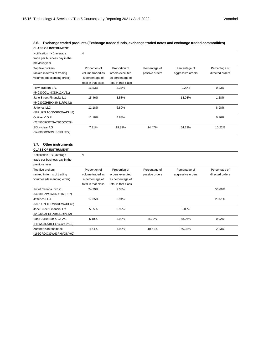#### **3.6. Exchange traded products (Exchange traded funds, exchange traded notes and exchange traded commodities) CLASS OF INSTRUMENT**

| Notification if <1 average    | N                   |                     |                |                   |                 |
|-------------------------------|---------------------|---------------------|----------------|-------------------|-----------------|
| trade per business day in the |                     |                     |                |                   |                 |
| previous year                 |                     |                     |                |                   |                 |
| Top five brokers              | Proportion of       | Proportion of       | Percentage of  | Percentage of     | Percentage of   |
| ranked in terms of trading    | volume traded as    | orders executed     | passive orders | aggressive orders | directed orders |
| volumes (descending order)    | a percentage of     | as percentage of    |                |                   |                 |
|                               | total in that class | total in that class |                |                   |                 |
| Flow Traders B.V.             | 16.53%              | 3.37%               |                | 0.23%             | 0.23%           |
| (549300CLJI9XDH12XV51)        |                     |                     |                |                   |                 |
| Jane Street Financial Ltd     | 15.46%              | 3.58%               |                | 14.08%            | 1.28%           |
| (549300ZHEHX8M31RP142)        |                     |                     |                |                   |                 |
| Jefferies LLC                 | 11.18%              | 6.89%               |                |                   | 8.98%           |
| (58PU97L1C0WSRCWADL48)        |                     |                     |                |                   |                 |
| Optiver V.O.F.                | 11.18%              | 4.83%               |                |                   | 0.16%           |
| (7245009KRYSAYB2QCC29)        |                     |                     |                |                   |                 |
| SIX x-clear AG                | 7.31%               | 19.82%              | 14.47%         | 64.23%            | 10.22%          |
| (5493000C6JWJSISPU377)        |                     |                     |                |                   |                 |

#### **3.7. Other instruments**

| <b>CLASS OF INSTRUMENT</b>                                                   |                                                                             |                                                                             |                                 |                                    |                                  |
|------------------------------------------------------------------------------|-----------------------------------------------------------------------------|-----------------------------------------------------------------------------|---------------------------------|------------------------------------|----------------------------------|
| Notification if <1 average<br>trade per business day in the<br>previous year | Ν                                                                           |                                                                             |                                 |                                    |                                  |
| Top five brokers<br>ranked in terms of trading<br>volumes (descending order) | Proportion of<br>volume traded as<br>a percentage of<br>total in that class | Proportion of<br>orders executed<br>as percentage of<br>total in that class | Percentage of<br>passive orders | Percentage of<br>aggressive orders | Percentage of<br>directed orders |
| Pictet Canada S.E.C.<br>(549300ZW5W660U16FP37)                               | 24.79%                                                                      | 2.33%                                                                       |                                 |                                    | 56.69%                           |
| Jefferies LLC<br>(58PU97L1C0WSRCWADL48)                                      | 17.35%                                                                      | 8.94%                                                                       |                                 |                                    | 29.51%                           |
| Jane Street Financial Ltd<br>(549300ZHEHX8M31RP142)                          | 5.35%                                                                       | 0.92%                                                                       |                                 | 2.00%                              |                                  |
| Bank Julius Bär & Co AG<br>(PNWU8O0BLT17BBV61Y18)                            | 5.18%                                                                       | 3.98%                                                                       | 8.29%                           | 58.06%                             | 0.92%                            |
| Zürcher Kantonalbank<br>(165GRDQ39W63PHVONY02)                               | 4.64%                                                                       | 4.93%                                                                       | 10.41%                          | 50.93%                             | 2.23%                            |